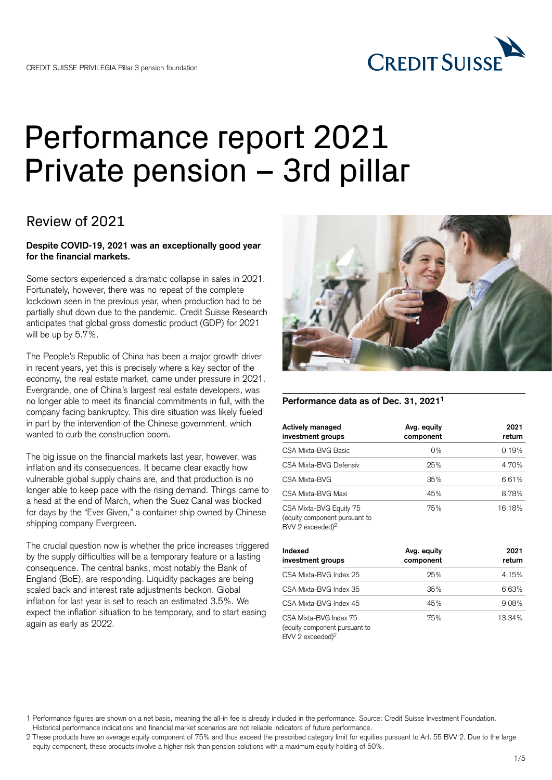

# Performance report 2021 Private pension – 3rd pillar

### Review of 2021

### **Despite COVID-19, 2021 was an exceptionally good year for the financial markets.**

Some sectors experienced a dramatic collapse in sales in 2021. Fortunately, however, there was no repeat of the complete lockdown seen in the previous year, when production had to be partially shut down due to the pandemic. Credit Suisse Research anticipates that global gross domestic product (GDP) for 2021 will be up by 5.7%.

The People's Republic of China has been a major growth driver in recent years, yet this is precisely where a key sector of the economy, the real estate market, came under pressure in 2021. Evergrande, one of China's largest real estate developers, was no longer able to meet its financial commitments in full, with the company facing bankruptcy. This dire situation was likely fueled in part by the intervention of the Chinese government, which wanted to curb the construction boom.

The big issue on the financial markets last year, however, was inflation and its consequences. It became clear exactly how vulnerable global supply chains are, and that production is no longer able to keep pace with the rising demand. Things came to a head at the end of March, when the Suez Canal was blocked for days by the "Ever Given," a container ship owned by Chinese shipping company Evergreen.

The crucial question now is whether the price increases triggered by the supply difficulties will be a temporary feature or a lasting consequence. The central banks, most notably the Bank of England (BoE), are responding. Liquidity packages are being scaled back and interest rate adjustments beckon. Global inflation for last year is set to reach an estimated 3.5%. We expect the inflation situation to be temporary, and to start easing again as early as 2022.



### **Performance data as of Dec. 31, 20211**

| Actively managed<br>investment groups                                                      | Avg. equity<br>component | 2021<br>return |
|--------------------------------------------------------------------------------------------|--------------------------|----------------|
| CSA Mixta-BVG Basic                                                                        | 0%                       | 0.19%          |
| CSA Mixta-BVG Defensiv                                                                     | 25%                      | 4.70%          |
| CSA Mixta-BVG                                                                              | 35%                      | 6.61%          |
| CSA Mixta-BVG Maxi                                                                         | 45%                      | 8.78%          |
| CSA Mixta-BVG Equity 75<br>(equity component pursuant to<br>$BVV 2$ exceeded) <sup>2</sup> | 75%                      | 16.18%         |

| Indexed<br>investment groups                                          | Avg. equity<br>component | 2021<br>return |
|-----------------------------------------------------------------------|--------------------------|----------------|
| CSA Mixta-BVG Index 25                                                | 25%                      | 4.15%          |
| CSA Mixta-BVG Index 35                                                | 35%                      | 6.63%          |
| CSA Mixta-BVG Index 45                                                | 45%                      | 9.08%          |
| CSA Mixta-BVG Index 75<br>(equity component pursuant to<br>$M10 \t10$ | 75%                      | 13.34%         |

BVV 2 exceeded)

<sup>1</sup> Performance figures are shown on a net basis, meaning the all-in fee is already included in the performance. Source: Credit Suisse Investment Foundation. Historical performance indications and financial market scenarios are not reliable indicators of future performance.

<sup>2</sup> These products have an average equity component of 75% and thus exceed the prescribed category limit for equities pursuant to Art. 55 BVV 2. Due to the large equity component, these products involve a higher risk than pension solutions with a maximum equity holding of 50%.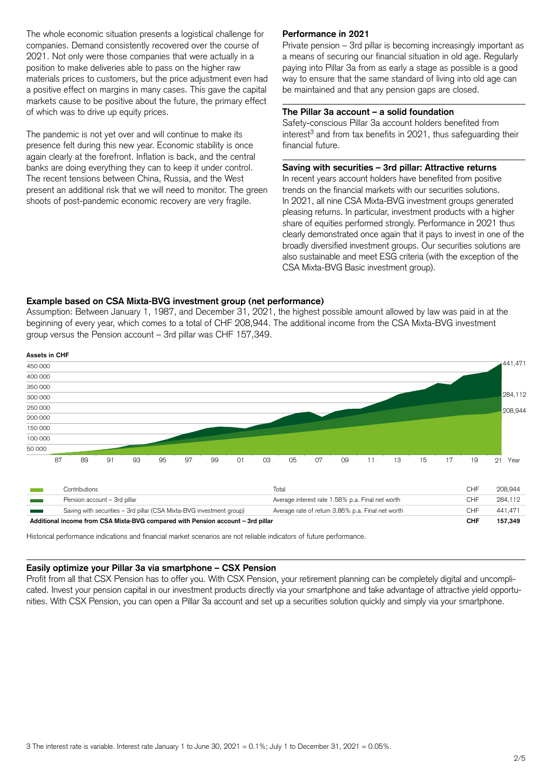The whole economic situation presents a logistical challenge for companies. Demand consistently recovered over the course of 2021. Not only were those companies that were actually in a position to make deliveries able to pass on the higher raw materials prices to customers, but the price adjustment even had a positive effect on margins in many cases. This gave the capital markets cause to be positive about the future, the primary effect of which was to drive up equity prices.

The pandemic is not yet over and will continue to make its presence felt during this new year. Economic stability is once again clearly at the forefront. Inflation is back, and the central banks are doing everything they can to keep it under control. The recent tensions between China, Russia, and the West present an additional risk that we will need to monitor. The green shoots of post-pandemic economic recovery are very fragile.

### **Performance in 2021**

Private pension – 3rd pillar is becoming increasingly important as a means of securing our financial situation in old age. Regularly paying into Pillar 3a from as early a stage as possible is a good way to ensure that the same standard of living into old age can be maintained and that any pension gaps are closed.

#### **The Pillar 3a account – a solid foundation**

Safety-conscious Pillar 3a account holders benefited from  $interest<sup>3</sup>$  and from tax benefits in 2021, thus safeguarding their financial future.

### **Saving with securities – 3rd pillar: Attractive returns**

In recent years account holders have benefited from positive trends on the financial markets with our securities solutions. In 2021, all nine CSA Mixta-BVG investment groups generated pleasing returns. In particular, investment products with a higher share of equities performed strongly. Performance in 2021 thus clearly demonstrated once again that it pays to invest in one of the broadly diversified investment groups. Our securities solutions are also sustainable and meet ESG criteria (with the exception of the CSA Mixta-BVG Basic investment group).

#### **Example based on CSA Mixta-BVG investment group (net performance)**

Assumption: Between January 1, 1987, and December 31, 2021, the highest possible amount allowed by law was paid in at the beginning of every year, which comes to a total of CHF 208,944. The additional income from the CSA Mixta-BVG investment group versus the Pension account – 3rd pillar was CHF 157,349.



|                                                                                 | Contributions                                                        | Total                                             | CHF        | 208.944 |
|---------------------------------------------------------------------------------|----------------------------------------------------------------------|---------------------------------------------------|------------|---------|
|                                                                                 | Pension account - 3rd pillar                                         | Average interest rate 1.58% p.a. Final net worth  | ∴НF        | 284.112 |
|                                                                                 | Saving with securities - 3rd pillar (CSA Mixta-BVG investment group) | Average rate of return 3.86% p.a. Final net worth | `HF        | 441.471 |
| Additional income from CSA Mixta-BVG compared with Pension account – 3rd pillar |                                                                      |                                                   | <b>CHF</b> | 157.349 |

Historical performance indications and financial market scenarios are not reliable indicators of future performance.

#### **Easily optimize your Pillar 3a via smartphone – CSX Pension**

Profit from all that CSX Pension has to offer you. With CSX Pension, your retirement planning can be completely digital and uncomplicated. Invest your pension capital in our investment products directly via your smartphone and take advantage of attractive yield opportunities. With CSX Pension, you can open a Pillar 3a account and set up a securities solution quickly and simply via your smartphone.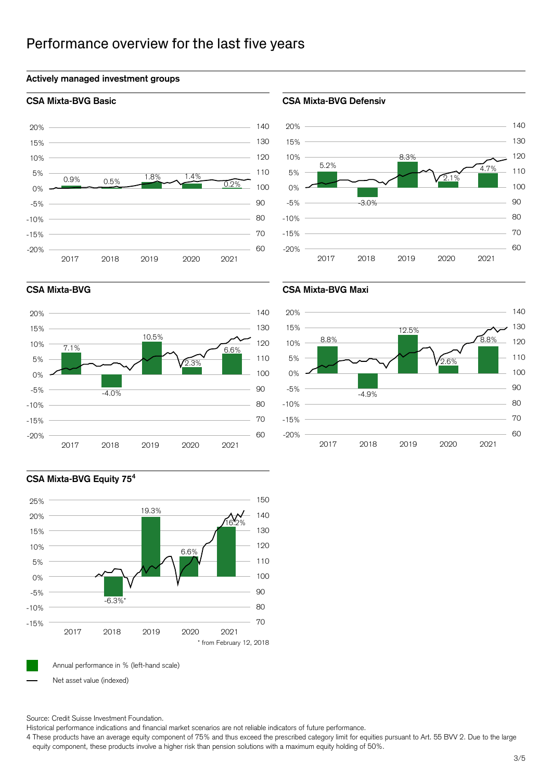### Performance overview for the last five years

### **Actively managed investment groups**



### **CSA Mixta-BVG Basic CSA Mixta-BVG Defensiv**







### **CSA Mixta-BVG CSA Mixta-BVG Maxi**



### **CSA Mixta-BVG Equity 75<sup>4</sup>**



Net asset value (indexed)

Source: Credit Suisse Investment Foundation.

Historical performance indications and financial market scenarios are not reliable indicators of future performance.

4 These products have an average equity component of 75% and thus exceed the prescribed category limit for equities pursuant to Art. 55 BVV 2. Due to the large equity component, these products involve a higher risk than pension solutions with a maximum equity holding of 50%.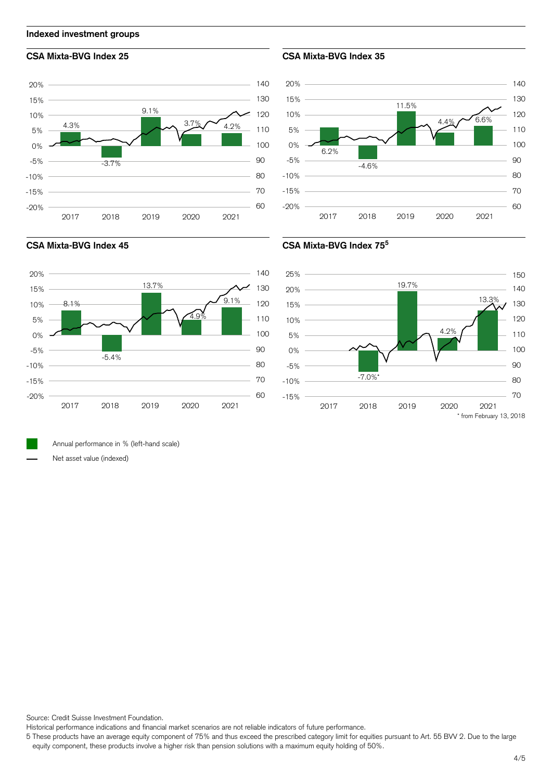

**Indexed investment groups**



### **CSA Mixta-BVG Index 25 CSA Mixta-BVG Index 35**









Annual performance in % (left-hand scale)

Net asset value (indexed)

Source: Credit Suisse Investment Foundation.

Historical performance indications and financial market scenarios are not reliable indicators of future performance.

5 These products have an average equity component of 75% and thus exceed the prescribed category limit for equities pursuant to Art. 55 BVV 2. Due to the large equity component, these products involve a higher risk than pension solutions with a maximum equity holding of 50%.